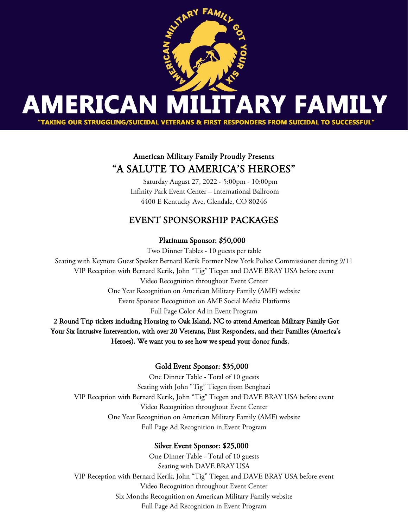

# American Military Family Proudly Presents "A SALUTE TO AMERICA'S HEROES"

 Saturday August 27, 2022 - 5:00pm - 10:00pm Infinity Park Event Center – International Ballroom 4400 E Kentucky Ave, Glendale, CO 80246

## EVENT SPONSORSHIP PACKAGES

### Platinum Sponsor: \$50,000

Two Dinner Tables - 10 guests per table Seating with Keynote Guest Speaker Bernard Kerik Former New York Police Commissioner during 9/11 VIP Reception with Bernard Kerik, John "Tig" Tiegen and DAVE BRAY USA before event Video Recognition throughout Event Center One Year Recognition on American Military Family (AMF) website Event Sponsor Recognition on AMF Social Media Platforms Full Page Color Ad in Event Program 2 Round Trip tickets including Housing to Oak Island, NC to attend American Military Family Got Your Six Intrusive Intervention, with over 20 Veterans, First Responders, and their Families (America's Heroes). We want you to see how we spend your donor funds.

### Gold Event Sponsor: \$35,000

One Dinner Table - Total of 10 guests Seating with John "Tig" Tiegen from Benghazi VIP Reception with Bernard Kerik, John "Tig" Tiegen and DAVE BRAY USA before event Video Recognition throughout Event Center One Year Recognition on American Military Family (AMF) website Full Page Ad Recognition in Event Program

### Silver Event Sponsor: \$25,000

One Dinner Table - Total of 10 guests Seating with DAVE BRAY USA VIP Reception with Bernard Kerik, John "Tig" Tiegen and DAVE BRAY USA before event Video Recognition throughout Event Center Six Months Recognition on American Military Family website Full Page Ad Recognition in Event Program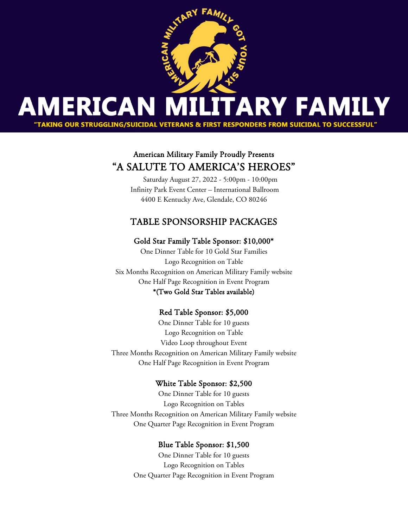

## American Military Family Proudly Presents "A SALUTE TO AMERICA'S HEROES"

 Saturday August 27, 2022 - 5:00pm - 10:00pm Infinity Park Event Center – International Ballroom 4400 E Kentucky Ave, Glendale, CO 80246

## TABLE SPONSORSHIP PACKAGES

#### Gold Star Family Table Sponsor: \$10,000\*

One Dinner Table for 10 Gold Star Families Logo Recognition on Table Six Months Recognition on American Military Family website One Half Page Recognition in Event Program \*(Two Gold Star Tables available)

#### Red Table Sponsor: \$5,000

One Dinner Table for 10 guests Logo Recognition on Table Video Loop throughout Event Three Months Recognition on American Military Family website One Half Page Recognition in Event Program

#### White Table Sponsor: \$2,500

One Dinner Table for 10 guests Logo Recognition on Tables Three Months Recognition on American Military Family website One Quarter Page Recognition in Event Program

#### Blue Table Sponsor: \$1,500

One Dinner Table for 10 guests Logo Recognition on Tables One Quarter Page Recognition in Event Program